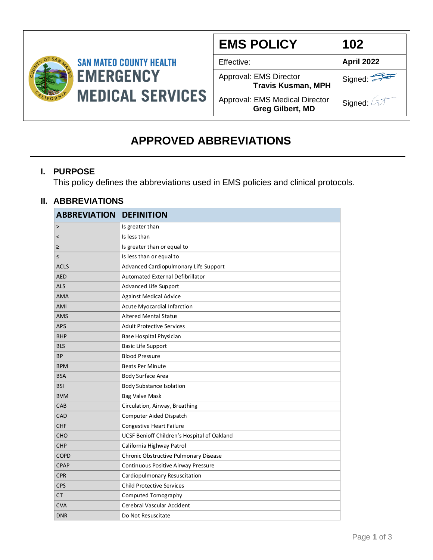

| <b>EMS POLICY</b>                                                | 102        |
|------------------------------------------------------------------|------------|
| Effective:                                                       | April 2022 |
| Approval: EMS Director<br><b>Travis Kusman, MPH</b>              | Signed:    |
| <b>Approval: EMS Medical Director</b><br><b>Greg Gilbert, MD</b> | Signed: 2  |

### **APPROVED ABBREVIATIONS**

#### **I. PURPOSE**

This policy defines the abbreviations used in EMS policies and clinical protocols.

#### **II. ABBREVIATIONS**

| <b>ABBREVIATION</b>      | <b>DEFINITION</b>                           |
|--------------------------|---------------------------------------------|
| $\rm{~}$                 | Is greater than                             |
| $\overline{\phantom{0}}$ | Is less than                                |
| $\geq$                   | Is greater than or equal to                 |
| $\leq$                   | Is less than or equal to                    |
| <b>ACLS</b>              | Advanced Cardiopulmonary Life Support       |
| <b>AED</b>               | Automated External Defibrillator            |
| <b>ALS</b>               | Advanced Life Support                       |
| <b>AMA</b>               | <b>Against Medical Advice</b>               |
| AMI                      | Acute Myocardial Infarction                 |
| <b>AMS</b>               | <b>Altered Mental Status</b>                |
| <b>APS</b>               | <b>Adult Protective Services</b>            |
| <b>BHP</b>               | Base Hospital Physician                     |
| <b>BLS</b>               | Basic Life Support                          |
| <b>BP</b>                | <b>Blood Pressure</b>                       |
| <b>BPM</b>               | <b>Beats Per Minute</b>                     |
| <b>BSA</b>               | Body Surface Area                           |
| <b>BSI</b>               | <b>Body Substance Isolation</b>             |
| <b>BVM</b>               | <b>Bag Valve Mask</b>                       |
| CAB                      | Circulation, Airway, Breathing              |
| CAD                      | Computer Aided Dispatch                     |
| <b>CHF</b>               | Congestive Heart Failure                    |
| <b>CHO</b>               | UCSF Benioff Children's Hospital of Oakland |
| <b>CHP</b>               | California Highway Patrol                   |
| <b>COPD</b>              | Chronic Obstructive Pulmonary Disease       |
| <b>CPAP</b>              | Continuous Positive Airway Pressure         |
| <b>CPR</b>               | Cardiopulmonary Resuscitation               |
| <b>CPS</b>               | <b>Child Protective Services</b>            |
| <b>CT</b>                | Computed Tomography                         |
| <b>CVA</b>               | Cerebral Vascular Accident                  |
| <b>DNR</b>               | Do Not Resuscitate                          |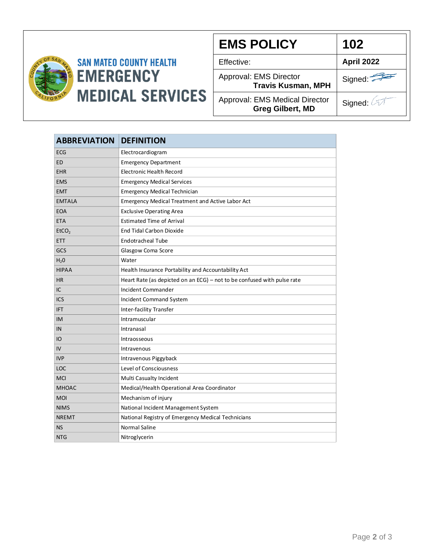

# **SAN MATEO COUNTY HEALTH EMERGENCY MEDICAL SERVICES**

| <b>EMS POLICY</b>                                         | 102        |
|-----------------------------------------------------------|------------|
| Effective:                                                | April 2022 |
| Approval: EMS Director<br><b>Travis Kusman, MPH</b>       | Signed:    |
| Approval: EMS Medical Director<br><b>Greg Gilbert, MD</b> | Signed: 4  |

| <b>ABBREVIATION</b> | <b>DEFINITION</b>                                                       |
|---------------------|-------------------------------------------------------------------------|
| <b>ECG</b>          | Electrocardiogram                                                       |
| <b>ED</b>           | <b>Emergency Department</b>                                             |
| <b>EHR</b>          | <b>Electronic Health Record</b>                                         |
| <b>EMS</b>          | <b>Emergency Medical Services</b>                                       |
| <b>EMT</b>          | <b>Emergency Medical Technician</b>                                     |
| <b>EMTALA</b>       | Emergency Medical Treatment and Active Labor Act                        |
| <b>EOA</b>          | <b>Exclusive Operating Area</b>                                         |
| <b>ETA</b>          | <b>Estimated Time of Arrival</b>                                        |
| EtCO <sub>2</sub>   | <b>End Tidal Carbon Dioxide</b>                                         |
| <b>ETT</b>          | <b>Endotracheal Tube</b>                                                |
| GCS                 | Glasgow Coma Score                                                      |
| H <sub>2</sub> 0    | Water                                                                   |
| <b>HIPAA</b>        | Health Insurance Portability and Accountability Act                     |
| <b>HR</b>           | Heart Rate (as depicted on an ECG) - not to be confused with pulse rate |
| IC                  | Incident Commander                                                      |
| ICS                 | Incident Command System                                                 |
| <b>IFT</b>          | Inter-facility Transfer                                                 |
| <b>IM</b>           | Intramuscular                                                           |
| IN                  | Intranasal                                                              |
| IO                  | Intraosseous                                                            |
| IV                  | Intravenous                                                             |
| <b>IVP</b>          | Intravenous Piggyback                                                   |
| LOC                 | Level of Consciousness                                                  |
| <b>MCI</b>          | Multi Casualty Incident                                                 |
| <b>MHOAC</b>        | Medical/Health Operational Area Coordinator                             |
| <b>MOI</b>          | Mechanism of injury                                                     |
| <b>NIMS</b>         | National Incident Management System                                     |
| <b>NREMT</b>        | National Registry of Emergency Medical Technicians                      |
| <b>NS</b>           | <b>Normal Saline</b>                                                    |
| <b>NTG</b>          | Nitroglycerin                                                           |